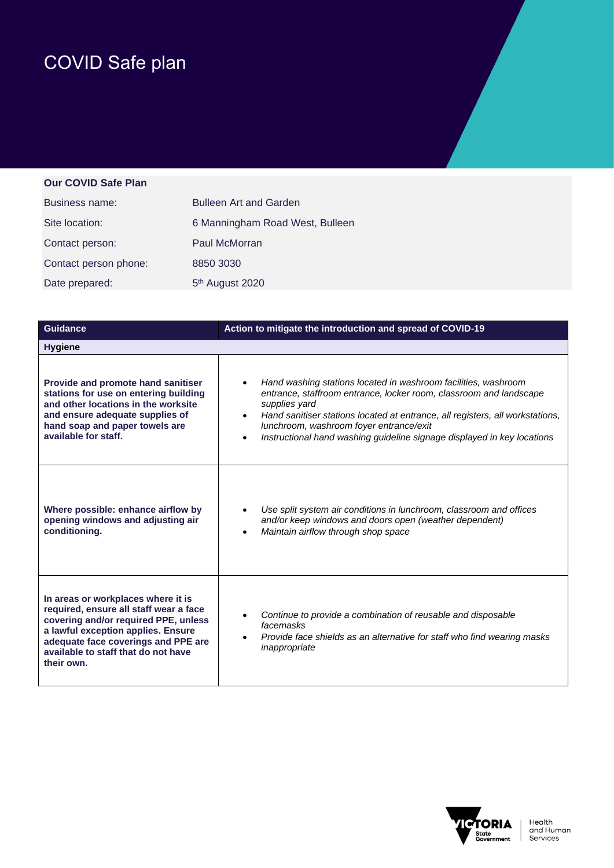## COVID Safe plan

## **Our COVID Safe Plan**

| Business name:        | <b>Bulleen Art and Garden</b>   |
|-----------------------|---------------------------------|
| Site location:        | 6 Manningham Road West, Bulleen |
| Contact person:       | Paul McMorran                   |
| Contact person phone: | 8850 3030                       |
| Date prepared:        | 5 <sup>th</sup> August 2020     |

| <b>Guidance</b>                                                                                                                                                                                                                                        | Action to mitigate the introduction and spread of COVID-19                                                                                                                                                                                                                                                                                                                             |
|--------------------------------------------------------------------------------------------------------------------------------------------------------------------------------------------------------------------------------------------------------|----------------------------------------------------------------------------------------------------------------------------------------------------------------------------------------------------------------------------------------------------------------------------------------------------------------------------------------------------------------------------------------|
| <b>Hygiene</b>                                                                                                                                                                                                                                         |                                                                                                                                                                                                                                                                                                                                                                                        |
| Provide and promote hand sanitiser<br>stations for use on entering building<br>and other locations in the worksite<br>and ensure adequate supplies of<br>hand soap and paper towels are<br>available for staff.                                        | Hand washing stations located in washroom facilities, washroom<br>entrance, staffroom entrance, locker room, classroom and landscape<br>supplies yard<br>Hand sanitiser stations located at entrance, all registers, all workstations,<br>$\bullet$<br>lunchroom, washroom foyer entrance/exit<br>Instructional hand washing guideline signage displayed in key locations<br>$\bullet$ |
| Where possible: enhance airflow by<br>opening windows and adjusting air<br>conditioning.                                                                                                                                                               | Use split system air conditions in lunchroom, classroom and offices<br>and/or keep windows and doors open (weather dependent)<br>Maintain airflow through shop space                                                                                                                                                                                                                   |
| In areas or workplaces where it is<br>required, ensure all staff wear a face<br>covering and/or required PPE, unless<br>a lawful exception applies. Ensure<br>adequate face coverings and PPE are<br>available to staff that do not have<br>their own. | Continue to provide a combination of reusable and disposable<br>facemasks<br>Provide face shields as an alternative for staff who find wearing masks<br>$\bullet$<br>inappropriate                                                                                                                                                                                                     |

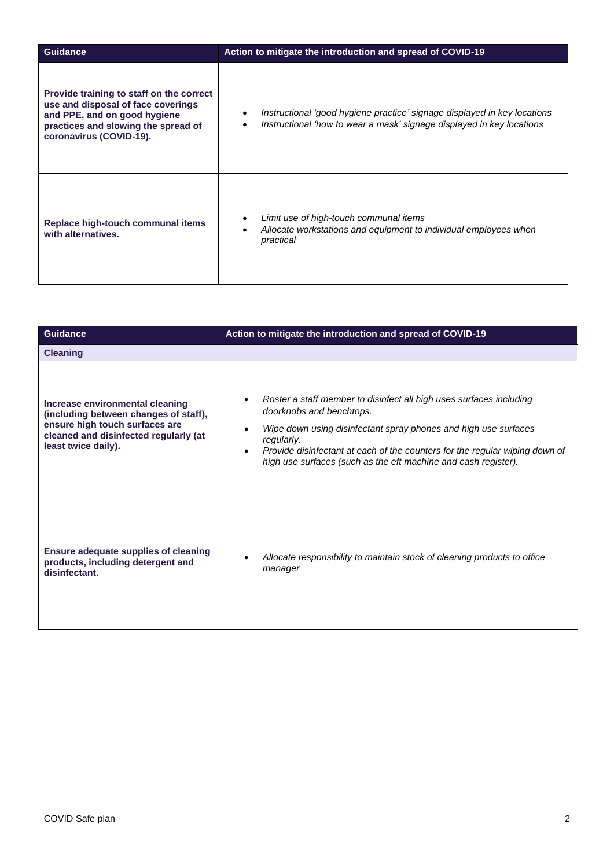| <b>Guidance</b>                                                                                                                                                                  | Action to mitigate the introduction and spread of COVID-19                                                                                        |
|----------------------------------------------------------------------------------------------------------------------------------------------------------------------------------|---------------------------------------------------------------------------------------------------------------------------------------------------|
| Provide training to staff on the correct<br>use and disposal of face coverings<br>and PPE, and on good hygiene<br>practices and slowing the spread of<br>coronavirus (COVID-19). | Instructional 'good hygiene practice' signage displayed in key locations<br>Instructional 'how to wear a mask' signage displayed in key locations |
| Replace high-touch communal items<br>with alternatives.                                                                                                                          | Limit use of high-touch communal items<br>Allocate workstations and equipment to individual employees when<br>practical                           |

| <b>Guidance</b>                                                                                                                                                            | Action to mitigate the introduction and spread of COVID-19                                                                                                                                                                                                                                                                        |
|----------------------------------------------------------------------------------------------------------------------------------------------------------------------------|-----------------------------------------------------------------------------------------------------------------------------------------------------------------------------------------------------------------------------------------------------------------------------------------------------------------------------------|
| <b>Cleaning</b>                                                                                                                                                            |                                                                                                                                                                                                                                                                                                                                   |
| Increase environmental cleaning<br>(including between changes of staff),<br>ensure high touch surfaces are<br>cleaned and disinfected regularly (at<br>least twice daily). | Roster a staff member to disinfect all high uses surfaces including<br>doorknobs and benchtops.<br>Wipe down using disinfectant spray phones and high use surfaces<br>regularly.<br>Provide disinfectant at each of the counters for the regular wiping down of<br>high use surfaces (such as the eft machine and cash register). |
| <b>Ensure adequate supplies of cleaning</b><br>products, including detergent and<br>disinfectant.                                                                          | Allocate responsibility to maintain stock of cleaning products to office<br>manager                                                                                                                                                                                                                                               |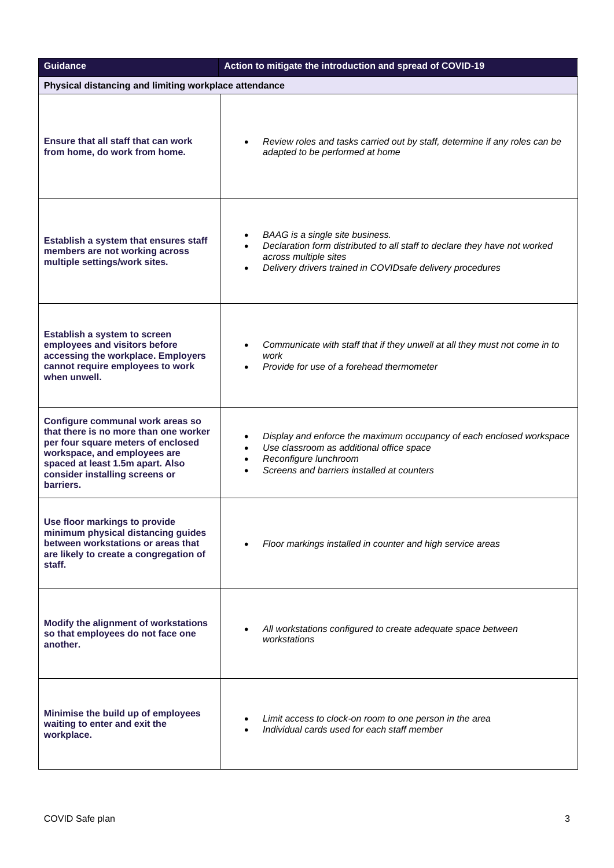| <b>Guidance</b>                                                                                                                                                                                                                    | Action to mitigate the introduction and spread of COVID-19                                                                                                                                                                     |
|------------------------------------------------------------------------------------------------------------------------------------------------------------------------------------------------------------------------------------|--------------------------------------------------------------------------------------------------------------------------------------------------------------------------------------------------------------------------------|
| Physical distancing and limiting workplace attendance                                                                                                                                                                              |                                                                                                                                                                                                                                |
| Ensure that all staff that can work<br>from home, do work from home.                                                                                                                                                               | Review roles and tasks carried out by staff, determine if any roles can be<br>$\bullet$<br>adapted to be performed at home                                                                                                     |
| Establish a system that ensures staff<br>members are not working across<br>multiple settings/work sites.                                                                                                                           | BAAG is a single site business.<br>$\bullet$<br>Declaration form distributed to all staff to declare they have not worked<br>$\bullet$<br>across multiple sites<br>Delivery drivers trained in COVIDsafe delivery procedures   |
| Establish a system to screen<br>employees and visitors before<br>accessing the workplace. Employers<br>cannot require employees to work<br>when unwell.                                                                            | Communicate with staff that if they unwell at all they must not come in to<br>$\bullet$<br>work<br>Provide for use of a forehead thermometer                                                                                   |
| Configure communal work areas so<br>that there is no more than one worker<br>per four square meters of enclosed<br>workspace, and employees are<br>spaced at least 1.5m apart. Also<br>consider installing screens or<br>barriers. | Display and enforce the maximum occupancy of each enclosed workspace<br>$\bullet$<br>Use classroom as additional office space<br>$\bullet$<br>Reconfigure lunchroom<br>$\bullet$<br>Screens and barriers installed at counters |
| Use floor markings to provide<br>minimum physical distancing guides<br>between workstations or areas that<br>are likely to create a congregation of<br>staff.                                                                      | Floor markings installed in counter and high service areas                                                                                                                                                                     |
| Modify the alignment of workstations<br>so that employees do not face one<br>another.                                                                                                                                              | All workstations configured to create adequate space between<br>workstations                                                                                                                                                   |
| Minimise the build up of employees<br>waiting to enter and exit the<br>workplace.                                                                                                                                                  | Limit access to clock-on room to one person in the area<br>Individual cards used for each staff member<br>$\bullet$                                                                                                            |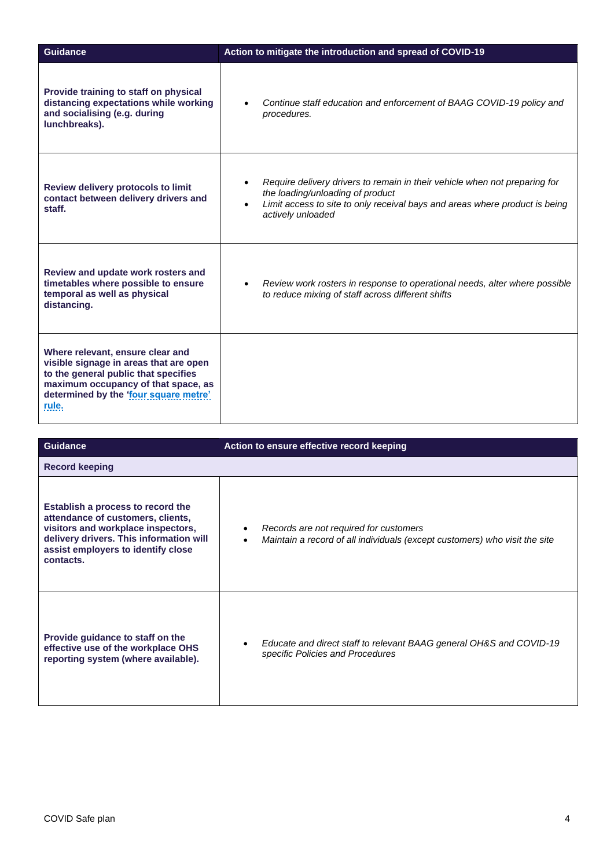| <b>Guidance</b>                                                                                                                                                                                             | Action to mitigate the introduction and spread of COVID-19                                                                                                                                                                      |
|-------------------------------------------------------------------------------------------------------------------------------------------------------------------------------------------------------------|---------------------------------------------------------------------------------------------------------------------------------------------------------------------------------------------------------------------------------|
| Provide training to staff on physical<br>distancing expectations while working<br>and socialising (e.g. during<br>lunchbreaks).                                                                             | Continue staff education and enforcement of BAAG COVID-19 policy and<br>procedures.                                                                                                                                             |
| <b>Review delivery protocols to limit</b><br>contact between delivery drivers and<br>staff.                                                                                                                 | Require delivery drivers to remain in their vehicle when not preparing for<br>the loading/unloading of product<br>Limit access to site to only receival bays and areas where product is being<br>$\bullet$<br>actively unloaded |
| Review and update work rosters and<br>timetables where possible to ensure<br>temporal as well as physical<br>distancing.                                                                                    | Review work rosters in response to operational needs, alter where possible<br>$\bullet$<br>to reduce mixing of staff across different shifts                                                                                    |
| Where relevant, ensure clear and<br>visible signage in areas that are open<br>to the general public that specifies<br>maximum occupancy of that space, as<br>determined by the 'four square metre'<br>rule. |                                                                                                                                                                                                                                 |

| <b>Guidance</b>                                                                                                                                                                                            | Action to ensure effective record keeping                                                                            |
|------------------------------------------------------------------------------------------------------------------------------------------------------------------------------------------------------------|----------------------------------------------------------------------------------------------------------------------|
| <b>Record keeping</b>                                                                                                                                                                                      |                                                                                                                      |
| Establish a process to record the<br>attendance of customers, clients,<br>visitors and workplace inspectors,<br>delivery drivers. This information will<br>assist employers to identify close<br>contacts. | Records are not required for customers<br>Maintain a record of all individuals (except customers) who visit the site |
| Provide guidance to staff on the<br>effective use of the workplace OHS<br>reporting system (where available).                                                                                              | Educate and direct staff to relevant BAAG general OH&S and COVID-19<br>specific Policies and Procedures              |